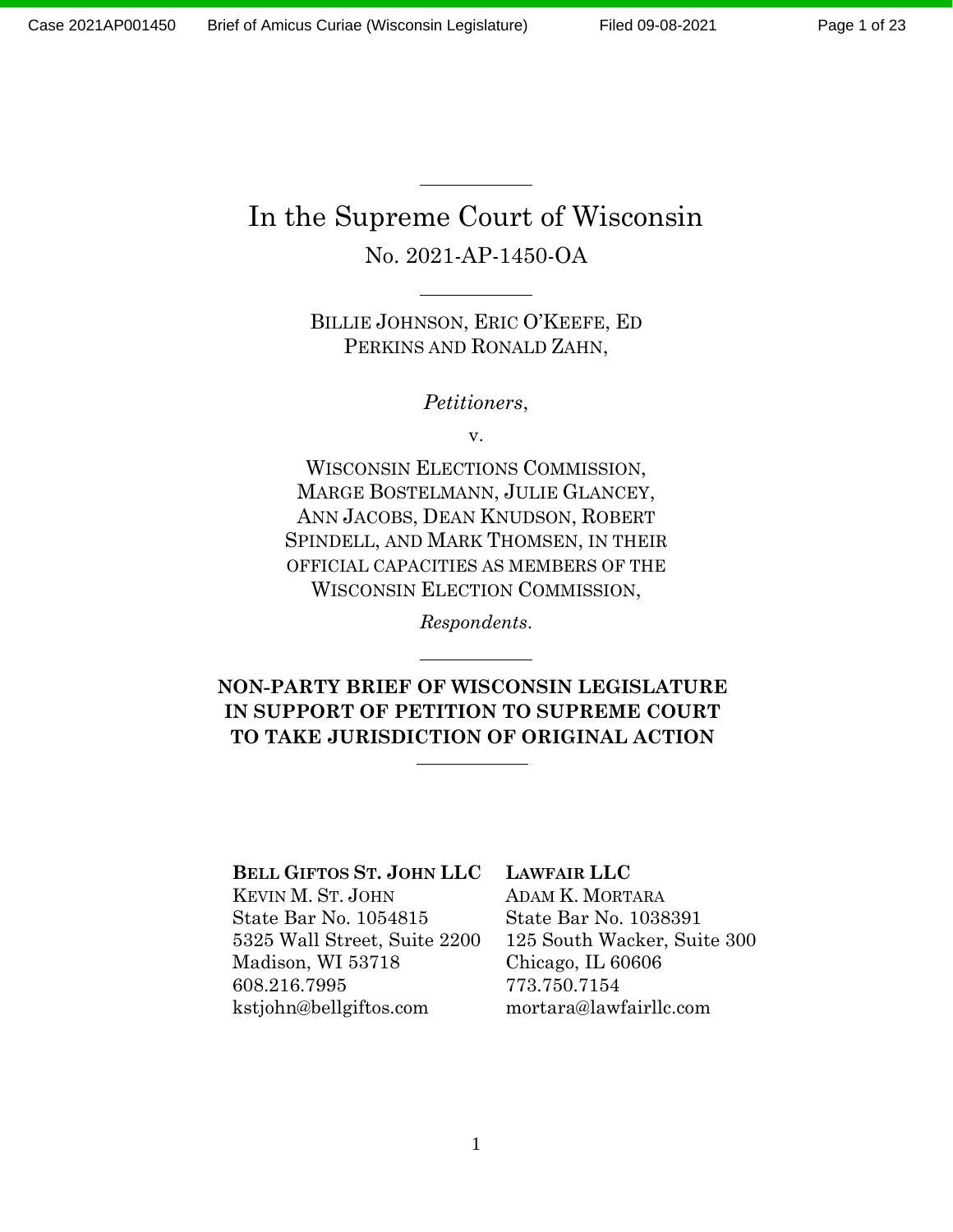# In the Supreme Court of Wisconsin No. 2021-AP-1450-OA

BILLIE JOHNSON, ERIC O'KEEFE, ED PERKINS AND RONALD ZAHN,

*Petitioners*,

v.

WISCONSIN ELECTIONS COMMISSION, MARGE BOSTELMANN, JULIE GLANCEY, ANN JACOBS, DEAN KNUDSON, ROBERT SPINDELL, AND MARK THOMSEN, IN THEIR OFFICIAL CAPACITIES AS MEMBERS OF THE WISCONSIN ELECTION COMMISSION,

*Respondents*.

**NON-PARTY BRIEF OF WISCONSIN LEGISLATURE IN SUPPORT OF PETITION TO SUPREME COURT TO TAKE JURISDICTION OF ORIGINAL ACTION**

### **BELL GIFTOS ST. JOHN LLC**

KEVIN M. ST. JOHN State Bar No. 1054815 5325 Wall Street, Suite 2200 Madison, WI 53718 608.216.7995 kstjohn@bellgiftos.com

### **LAWFAIR LLC**

ADAM K. MORTARA State Bar No. 1038391 125 South Wacker, Suite 300 Chicago, IL 60606 773.750.7154 mortara@lawfairllc.com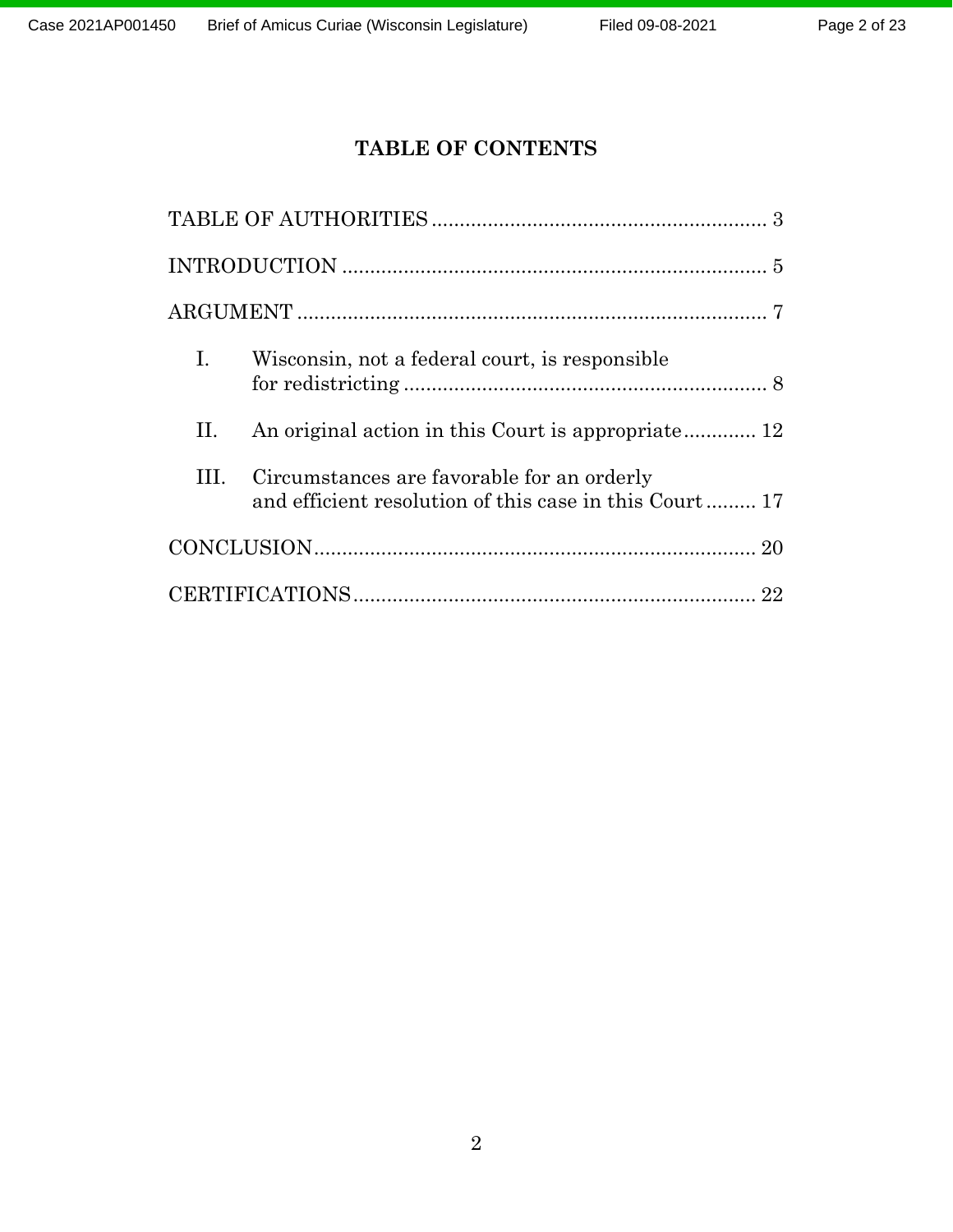# **TABLE OF CONTENTS**

| Ι. | Wisconsin, not a federal court, is responsible                                                       |  |
|----|------------------------------------------------------------------------------------------------------|--|
| П. | An original action in this Court is appropriate 12                                                   |  |
| Ш. | Circumstances are favorable for an orderly<br>and efficient resolution of this case in this Court 17 |  |
|    |                                                                                                      |  |
|    |                                                                                                      |  |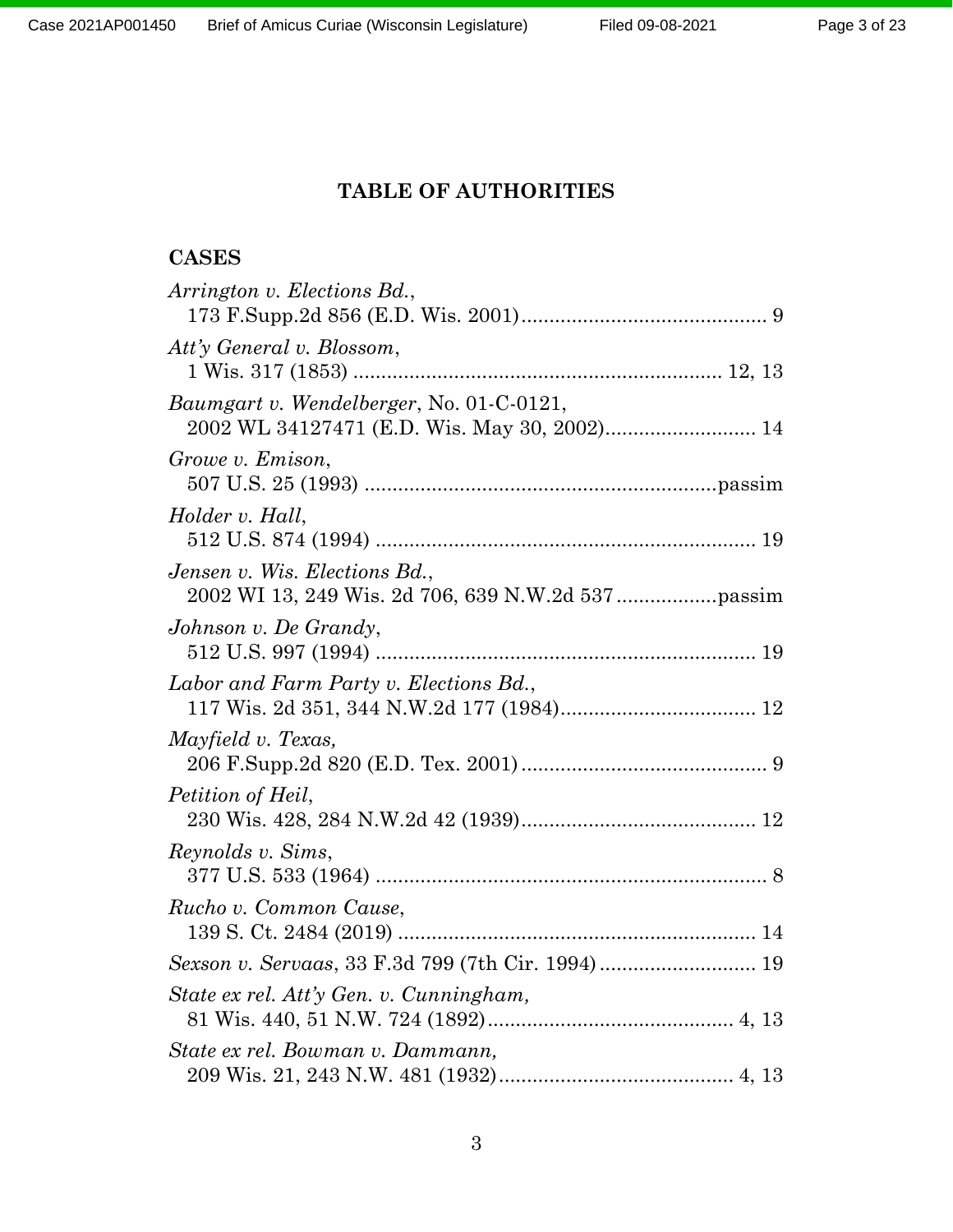# **TABLE OF AUTHORITIES**

# **CASES**

| Arrington v. Elections Bd.,                        |
|----------------------------------------------------|
| Att'y General v. Blossom,                          |
| <i>Baumgart v. Wendelberger, No. 01-C-0121,</i>    |
| Growe v. Emison,                                   |
| Holder v. Hall,                                    |
| Jensen v. Wis. Elections Bd.,                      |
| Johnson v. De Grandy,                              |
| Labor and Farm Party v. Elections Bd.,             |
| Mayfield v. Texas,                                 |
| Petition of Heil,                                  |
| Reynolds v. Sims,                                  |
| Rucho v. Common Cause,                             |
| Sexson v. Servaas, 33 F.3d 799 (7th Cir. 1994)  19 |
| State ex rel. Att'y Gen. v. Cunningham,            |
| State ex rel. Bowman v. Dammann,                   |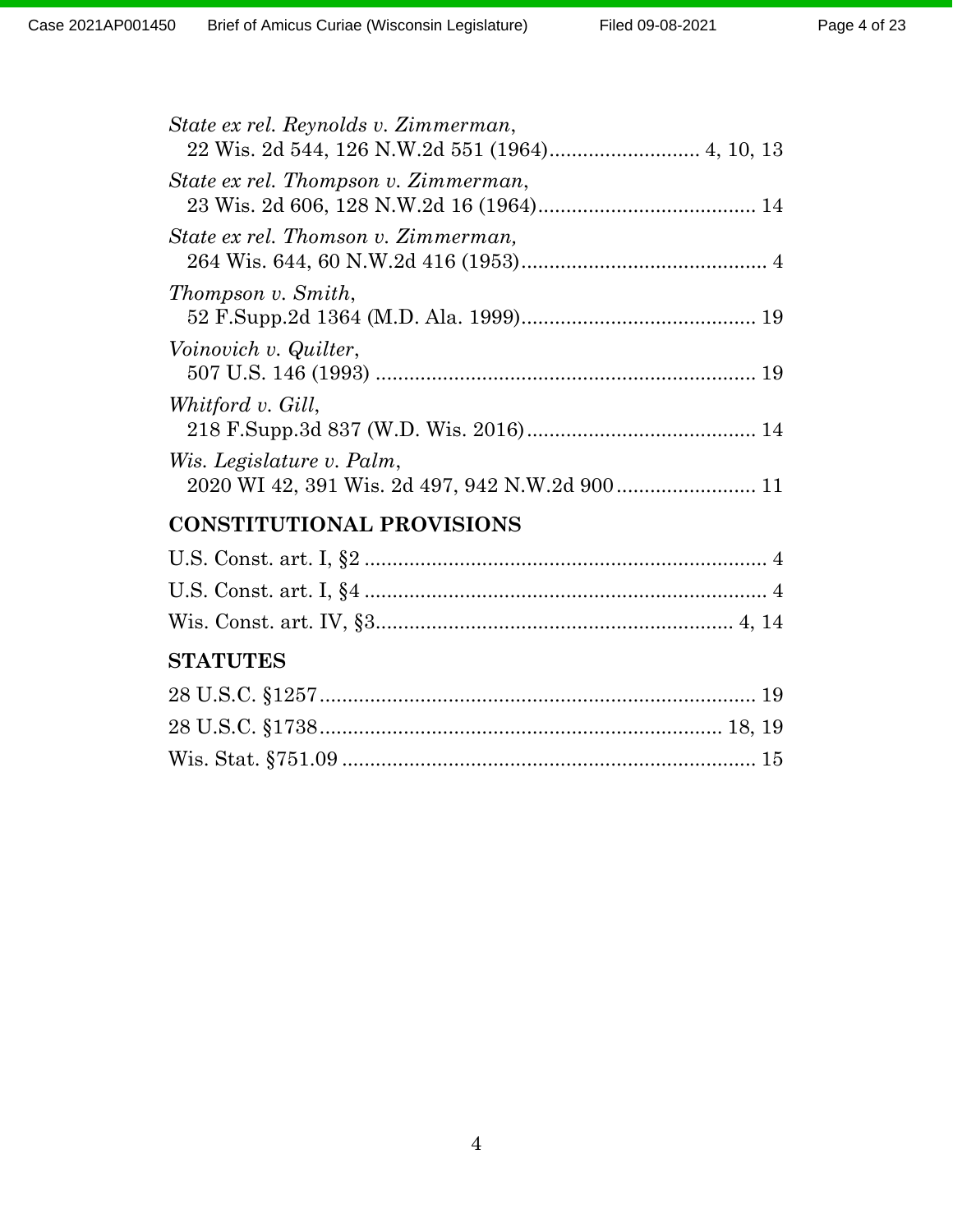| State ex rel. Reynolds v. Zimmerman, |
|--------------------------------------|
| State ex rel. Thompson v. Zimmerman, |
| State ex rel. Thomson v. Zimmerman,  |
| Thompson v. Smith,                   |
| Voinovich v. Quilter,                |
| Whitford v. Gill,                    |
| Wis. Legislature v. Palm,            |
| <b>CONSTITUTIONAL PROVISIONS</b>     |
|                                      |
|                                      |
|                                      |
| <b>CTATITEC</b>                      |

# **STATUTES**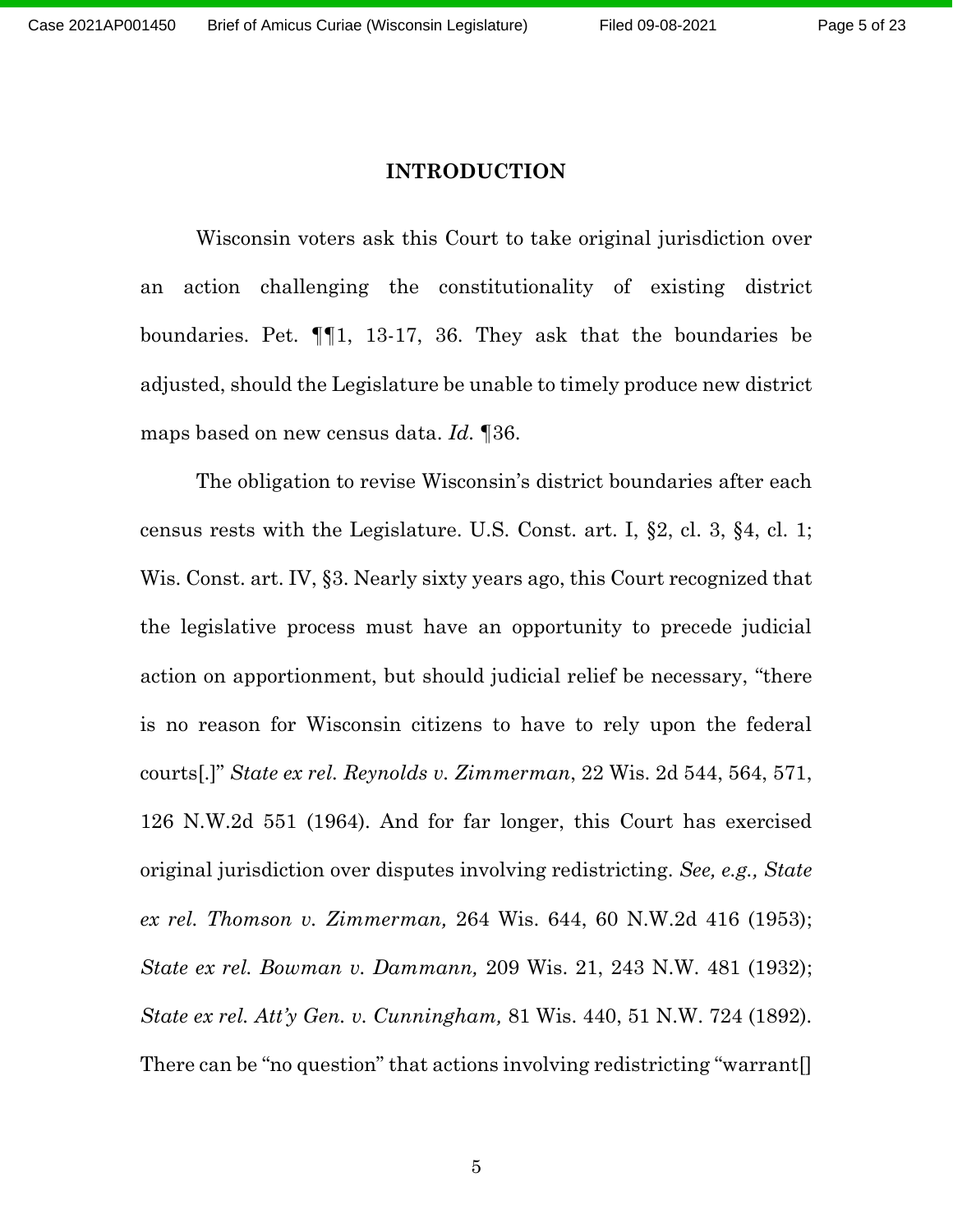#### **INTRODUCTION**

Wisconsin voters ask this Court to take original jurisdiction over an action challenging the constitutionality of existing district boundaries. Pet. ¶¶1, 13-17, 36. They ask that the boundaries be adjusted, should the Legislature be unable to timely produce new district maps based on new census data. *Id.* ¶36.

The obligation to revise Wisconsin's district boundaries after each census rests with the Legislature. U.S. Const. art. I, §2, cl. 3, §4, cl. 1; Wis. Const. art. IV, §3. Nearly sixty years ago, this Court recognized that the legislative process must have an opportunity to precede judicial action on apportionment, but should judicial relief be necessary, "there is no reason for Wisconsin citizens to have to rely upon the federal courts[.]" *State ex rel. Reynolds v. Zimmerman*, 22 Wis. 2d 544, 564, 571, 126 N.W.2d 551 (1964). And for far longer, this Court has exercised original jurisdiction over disputes involving redistricting. *See, e.g., State ex rel. Thomson v. Zimmerman,* 264 Wis. 644, 60 N.W.2d 416 (1953); *State ex rel. Bowman v. Dammann,* 209 Wis. 21, 243 N.W. 481 (1932); *State ex rel. Att'y Gen. v. Cunningham,* 81 Wis. 440, 51 N.W. 724 (1892)*.* There can be "no question" that actions involving redistricting "warrant[]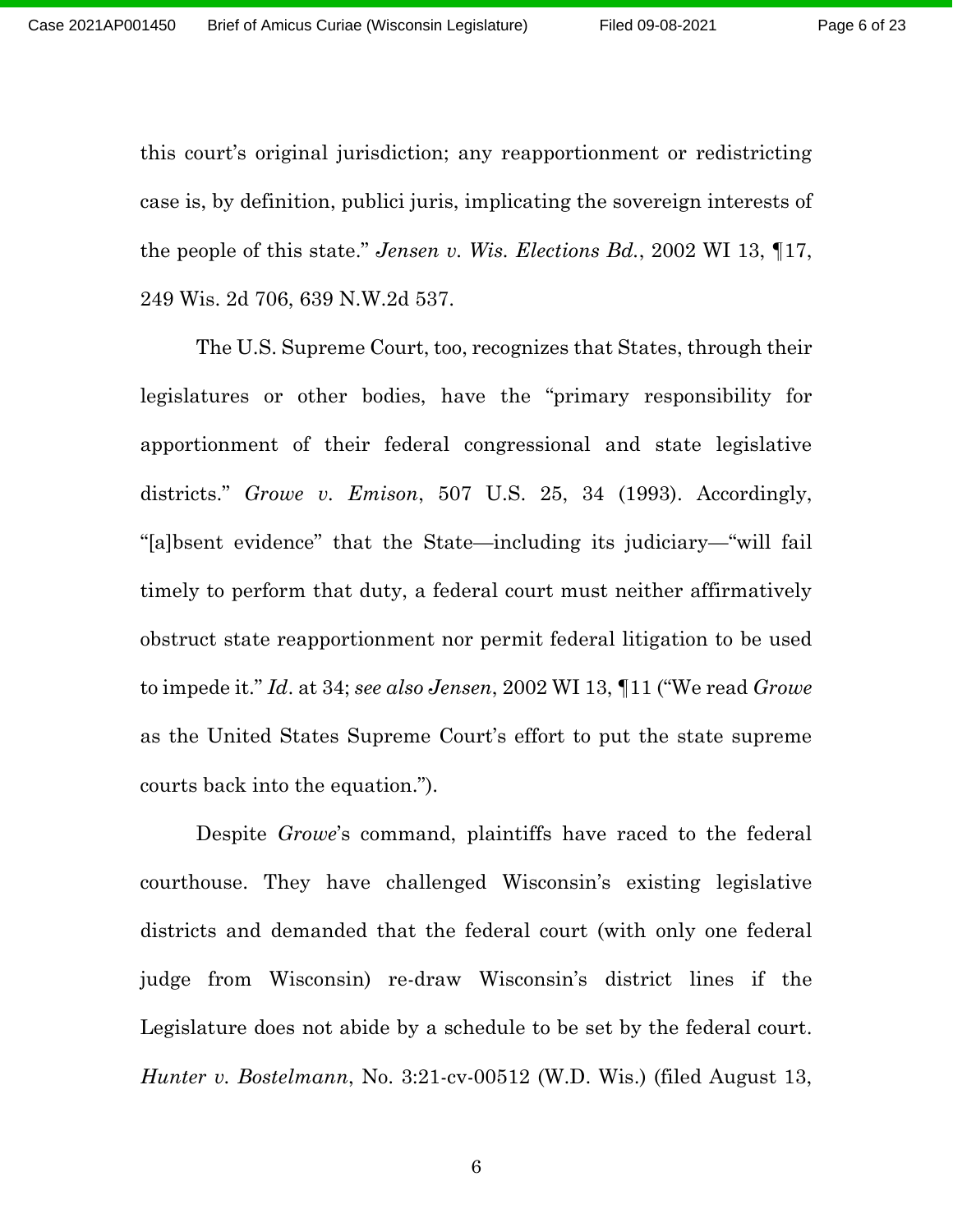this court's original jurisdiction; any reapportionment or redistricting case is, by definition, publici juris, implicating the sovereign interests of the people of this state." *Jensen v. Wis. Elections Bd.*, 2002 WI 13, ¶17, 249 Wis. 2d 706, 639 N.W.2d 537.

The U.S. Supreme Court, too, recognizes that States, through their legislatures or other bodies, have the "primary responsibility for apportionment of their federal congressional and state legislative districts." *Growe v. Emison*, 507 U.S. 25, 34 (1993). Accordingly, "[a]bsent evidence" that the State—including its judiciary—"will fail timely to perform that duty, a federal court must neither affirmatively obstruct state reapportionment nor permit federal litigation to be used to impede it." *Id*. at 34; *see also Jensen*, 2002 WI 13, ¶11 ("We read *Growe*  as the United States Supreme Court's effort to put the state supreme courts back into the equation.").

Despite *Growe*'s command, plaintiffs have raced to the federal courthouse. They have challenged Wisconsin's existing legislative districts and demanded that the federal court (with only one federal judge from Wisconsin) re-draw Wisconsin's district lines if the Legislature does not abide by a schedule to be set by the federal court. *Hunter v. Bostelmann*, No. 3:21-cv-00512 (W.D. Wis.) (filed August 13,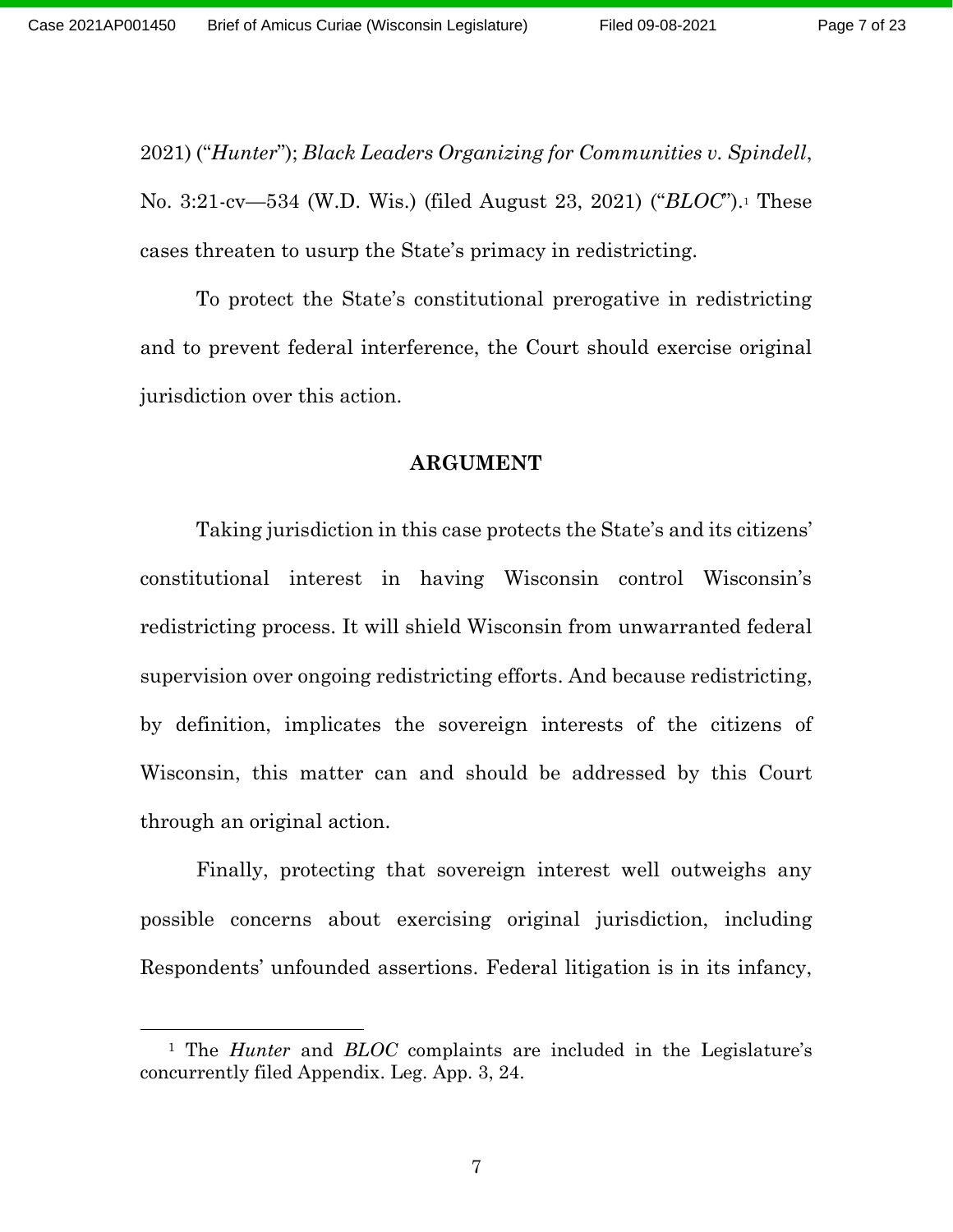Page 7 of 23

2021) ("*Hunter*"); *Black Leaders Organizing for Communities v. Spindell*, No. 3:21-cv—534 (W.D. Wis.) (filed August 23, 2021) ("*BLOC*"). <sup>1</sup> These cases threaten to usurp the State's primacy in redistricting.

To protect the State's constitutional prerogative in redistricting and to prevent federal interference, the Court should exercise original jurisdiction over this action.

#### **ARGUMENT**

Taking jurisdiction in this case protects the State's and its citizens' constitutional interest in having Wisconsin control Wisconsin's redistricting process. It will shield Wisconsin from unwarranted federal supervision over ongoing redistricting efforts. And because redistricting, by definition, implicates the sovereign interests of the citizens of Wisconsin, this matter can and should be addressed by this Court through an original action.

Finally, protecting that sovereign interest well outweighs any possible concerns about exercising original jurisdiction, including Respondents' unfounded assertions. Federal litigation is in its infancy,

<sup>1</sup> The *Hunter* and *BLOC* complaints are included in the Legislature's concurrently filed Appendix. Leg. App. 3, 24.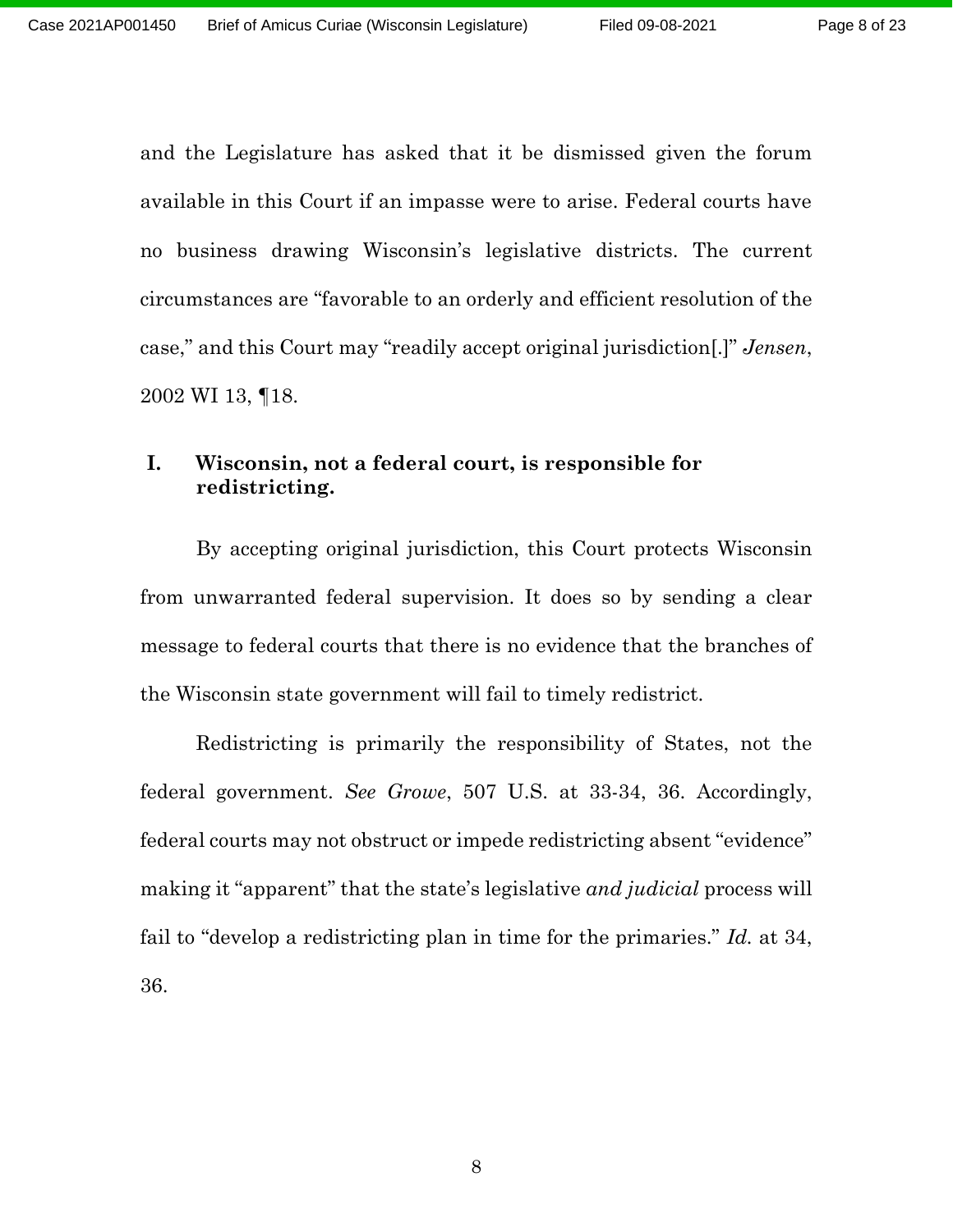and the Legislature has asked that it be dismissed given the forum available in this Court if an impasse were to arise. Federal courts have no business drawing Wisconsin's legislative districts. The current circumstances are "favorable to an orderly and efficient resolution of the case," and this Court may "readily accept original jurisdiction[.]" *Jensen*, 2002 WI 13, ¶18.

## **I. Wisconsin, not a federal court, is responsible for redistricting.**

By accepting original jurisdiction, this Court protects Wisconsin from unwarranted federal supervision. It does so by sending a clear message to federal courts that there is no evidence that the branches of the Wisconsin state government will fail to timely redistrict.

Redistricting is primarily the responsibility of States, not the federal government. *See Growe*, 507 U.S. at 33-34, 36. Accordingly, federal courts may not obstruct or impede redistricting absent "evidence" making it "apparent" that the state's legislative *and judicial* process will fail to "develop a redistricting plan in time for the primaries." *Id.* at 34, 36.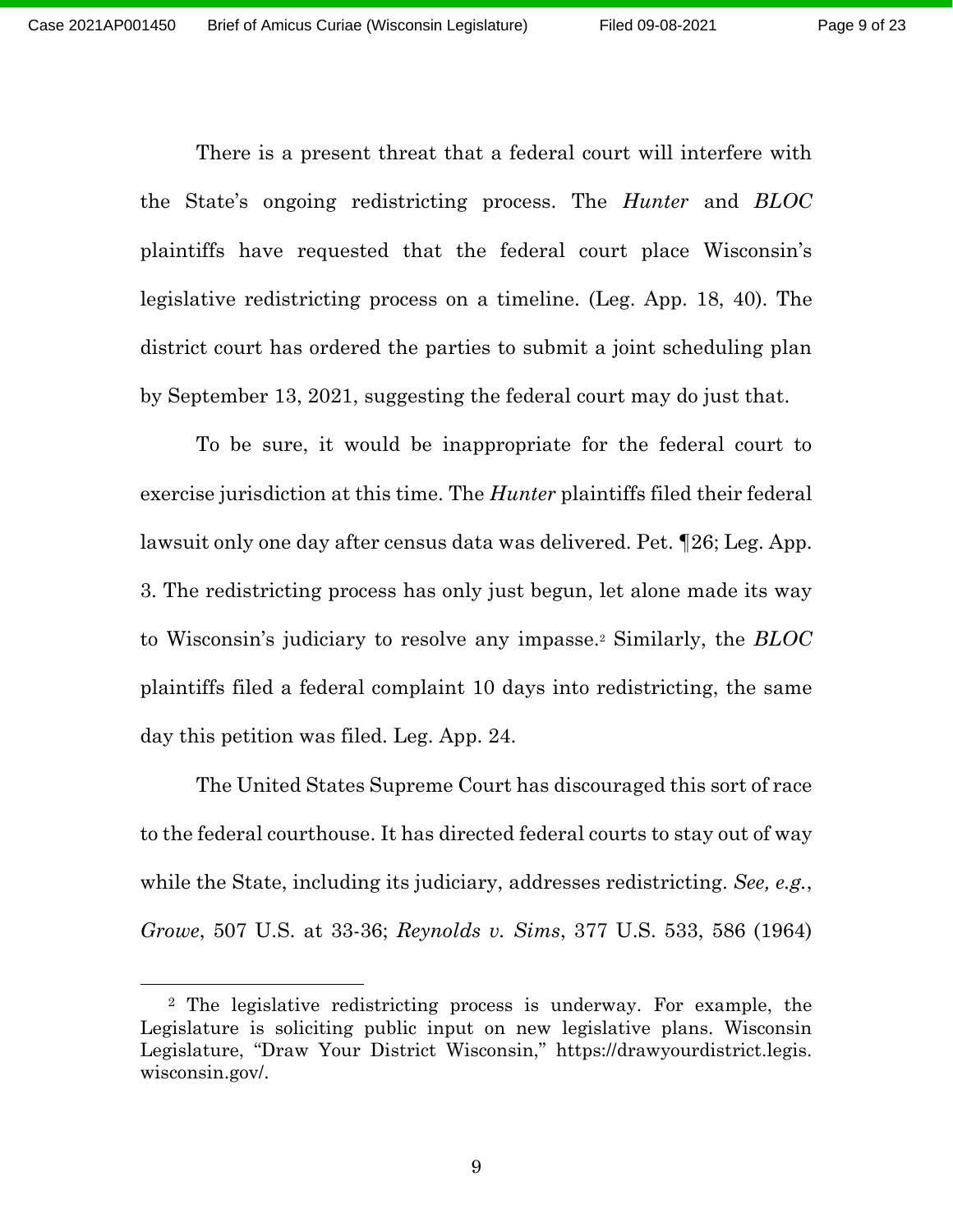Page 9 of 23

There is a present threat that a federal court will interfere with the State's ongoing redistricting process. The *Hunter* and *BLOC* plaintiffs have requested that the federal court place Wisconsin's legislative redistricting process on a timeline. (Leg. App. 18, 40). The district court has ordered the parties to submit a joint scheduling plan by September 13, 2021, suggesting the federal court may do just that.

To be sure, it would be inappropriate for the federal court to exercise jurisdiction at this time. The *Hunter* plaintiffs filed their federal lawsuit only one day after census data was delivered. Pet. ¶26; Leg. App. 3. The redistricting process has only just begun, let alone made its way to Wisconsin's judiciary to resolve any impasse. <sup>2</sup> Similarly, the *BLOC*  plaintiffs filed a federal complaint 10 days into redistricting, the same day this petition was filed. Leg. App. 24.

The United States Supreme Court has discouraged this sort of race to the federal courthouse. It has directed federal courts to stay out of way while the State, including its judiciary, addresses redistricting. *See, e.g.*, *Growe*, 507 U.S. at 33-36; *Reynolds v. Sims*, 377 U.S. 533, 586 (1964)

<sup>2</sup> The legislative redistricting process is underway. For example, the Legislature is soliciting public input on new legislative plans. Wisconsin Legislature, "Draw Your District Wisconsin," https://drawyourdistrict.legis. wisconsin.gov/.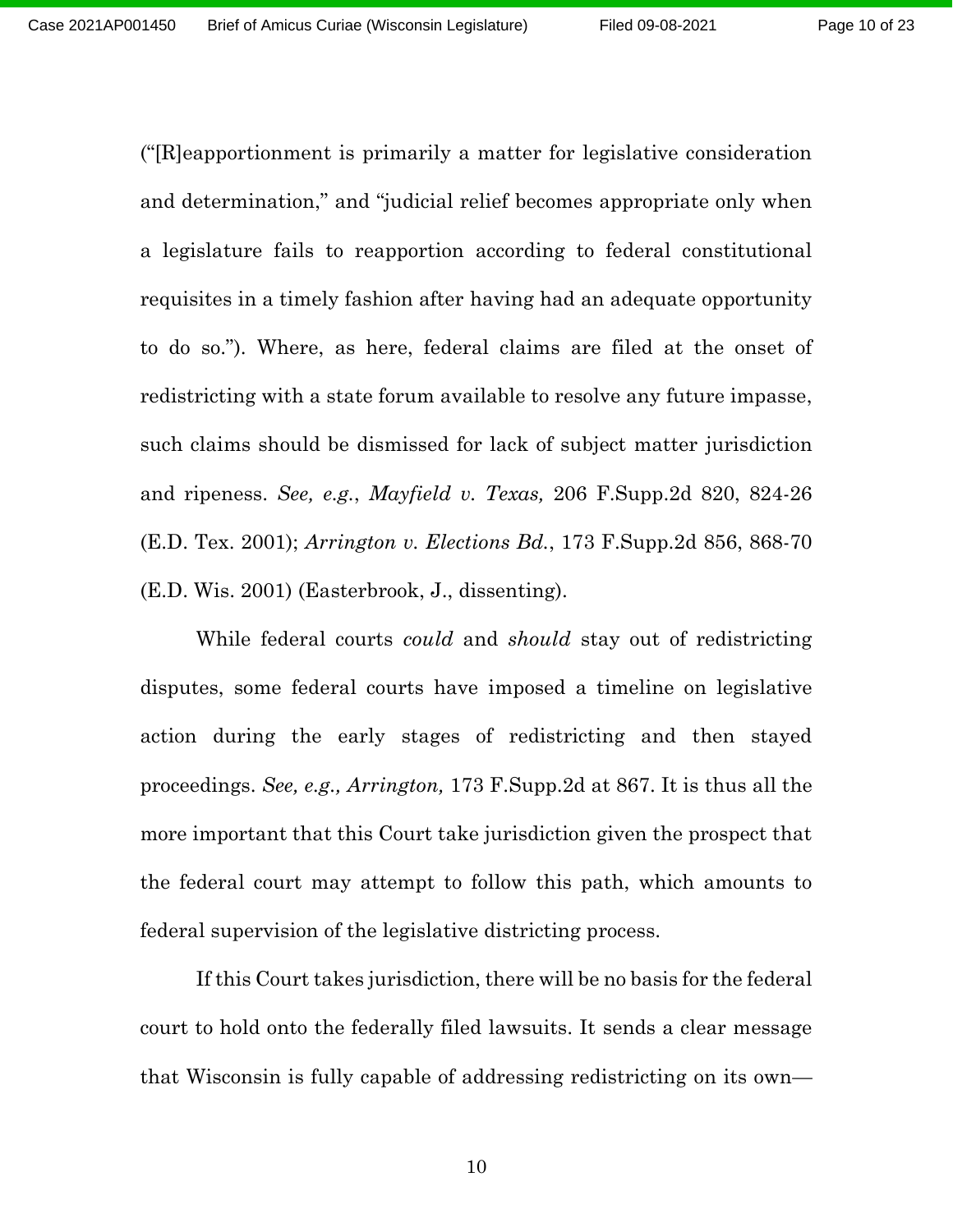("[R]eapportionment is primarily a matter for legislative consideration and determination," and "judicial relief becomes appropriate only when a legislature fails to reapportion according to federal constitutional requisites in a timely fashion after having had an adequate opportunity to do so."). Where, as here, federal claims are filed at the onset of redistricting with a state forum available to resolve any future impasse, such claims should be dismissed for lack of subject matter jurisdiction and ripeness. *See, e.g.*, *Mayfield v. Texas,* 206 F.Supp.2d 820, 824-26 (E.D. Tex. 2001); *Arrington v. Elections Bd.*, 173 F.Supp.2d 856, 868-70 (E.D. Wis. 2001) (Easterbrook, J., dissenting).

While federal courts *could* and *should* stay out of redistricting disputes, some federal courts have imposed a timeline on legislative action during the early stages of redistricting and then stayed proceedings. *See, e.g., Arrington,* 173 F.Supp.2d at 867. It is thus all the more important that this Court take jurisdiction given the prospect that the federal court may attempt to follow this path, which amounts to federal supervision of the legislative districting process.

If this Court takes jurisdiction, there will be no basis for the federal court to hold onto the federally filed lawsuits. It sends a clear message that Wisconsin is fully capable of addressing redistricting on its own—

10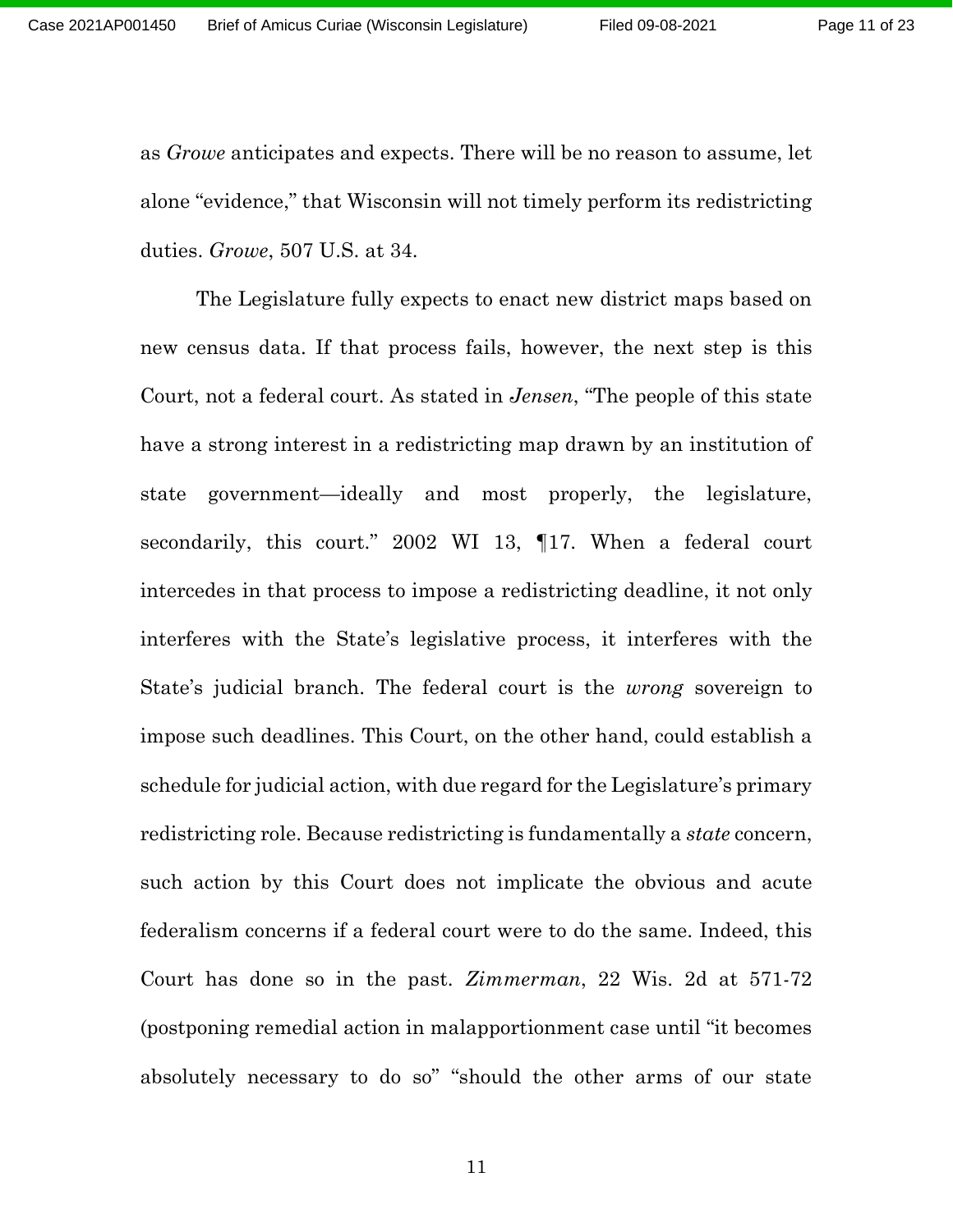as *Growe* anticipates and expects. There will be no reason to assume, let alone "evidence," that Wisconsin will not timely perform its redistricting duties. *Growe*, 507 U.S. at 34.

The Legislature fully expects to enact new district maps based on new census data. If that process fails, however, the next step is this Court, not a federal court. As stated in *Jensen*, "The people of this state have a strong interest in a redistricting map drawn by an institution of state government—ideally and most properly, the legislature, secondarily, this court." 2002 WI 13, 17. When a federal court intercedes in that process to impose a redistricting deadline, it not only interferes with the State's legislative process, it interferes with the State's judicial branch. The federal court is the *wrong* sovereign to impose such deadlines. This Court, on the other hand, could establish a schedule for judicial action, with due regard for the Legislature's primary redistricting role. Because redistricting is fundamentally a *state* concern, such action by this Court does not implicate the obvious and acute federalism concerns if a federal court were to do the same. Indeed, this Court has done so in the past. *Zimmerman*, 22 Wis. 2d at 571-72 (postponing remedial action in malapportionment case until "it becomes absolutely necessary to do so" "should the other arms of our state

11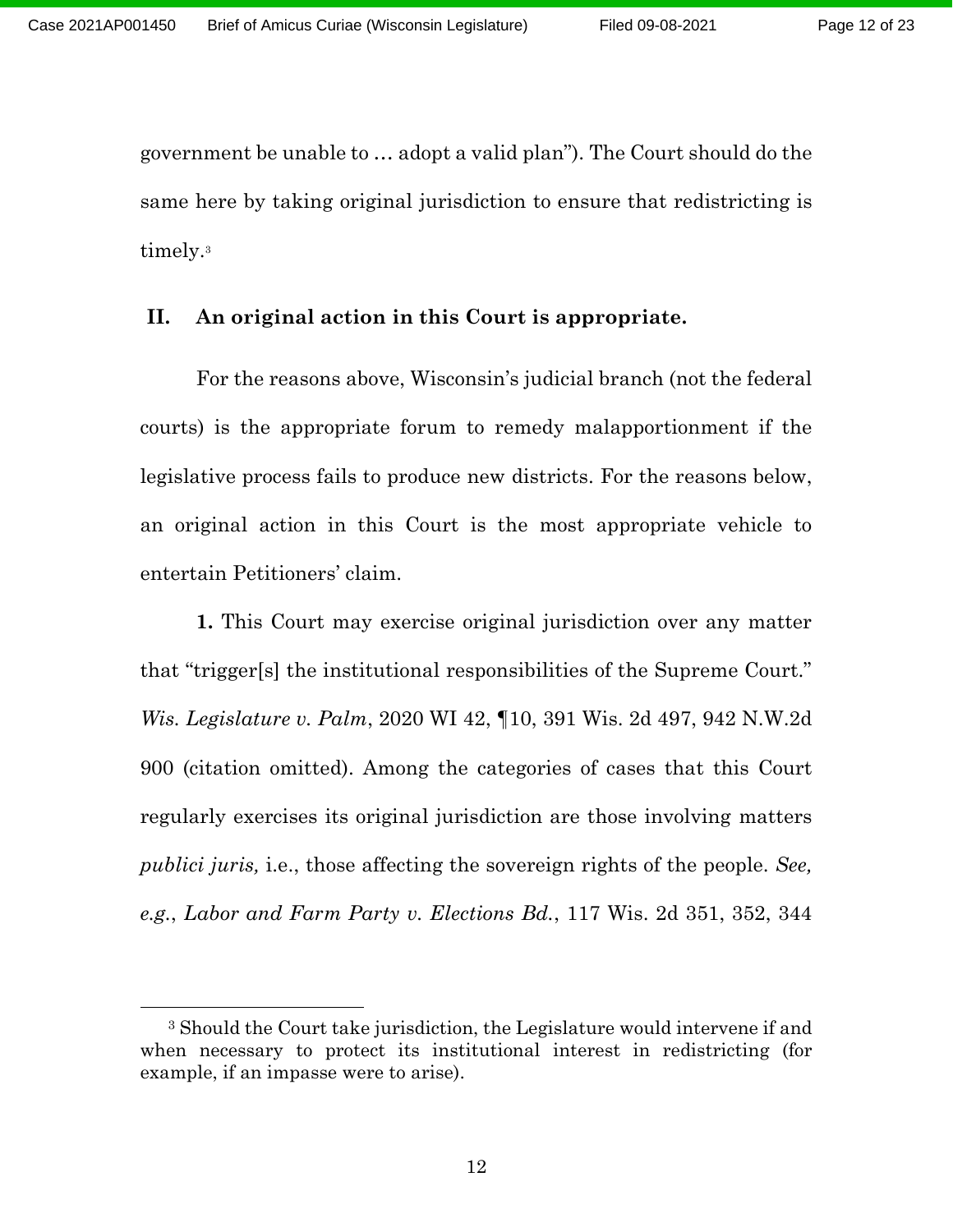government be unable to … adopt a valid plan"). The Court should do the same here by taking original jurisdiction to ensure that redistricting is timely. 3

### **II. An original action in this Court is appropriate.**

For the reasons above, Wisconsin's judicial branch (not the federal courts) is the appropriate forum to remedy malapportionment if the legislative process fails to produce new districts. For the reasons below, an original action in this Court is the most appropriate vehicle to entertain Petitioners' claim.

**1.** This Court may exercise original jurisdiction over any matter that "trigger[s] the institutional responsibilities of the Supreme Court." *Wis. Legislature v. Palm*, 2020 WI 42, ¶10, 391 Wis. 2d 497, 942 N.W.2d 900 (citation omitted). Among the categories of cases that this Court regularly exercises its original jurisdiction are those involving matters *publici juris,* i.e., those affecting the sovereign rights of the people. *See, e.g.*, *Labor and Farm Party v. Elections Bd.*, 117 Wis. 2d 351, 352, 344

<sup>3</sup> Should the Court take jurisdiction, the Legislature would intervene if and when necessary to protect its institutional interest in redistricting (for example, if an impasse were to arise).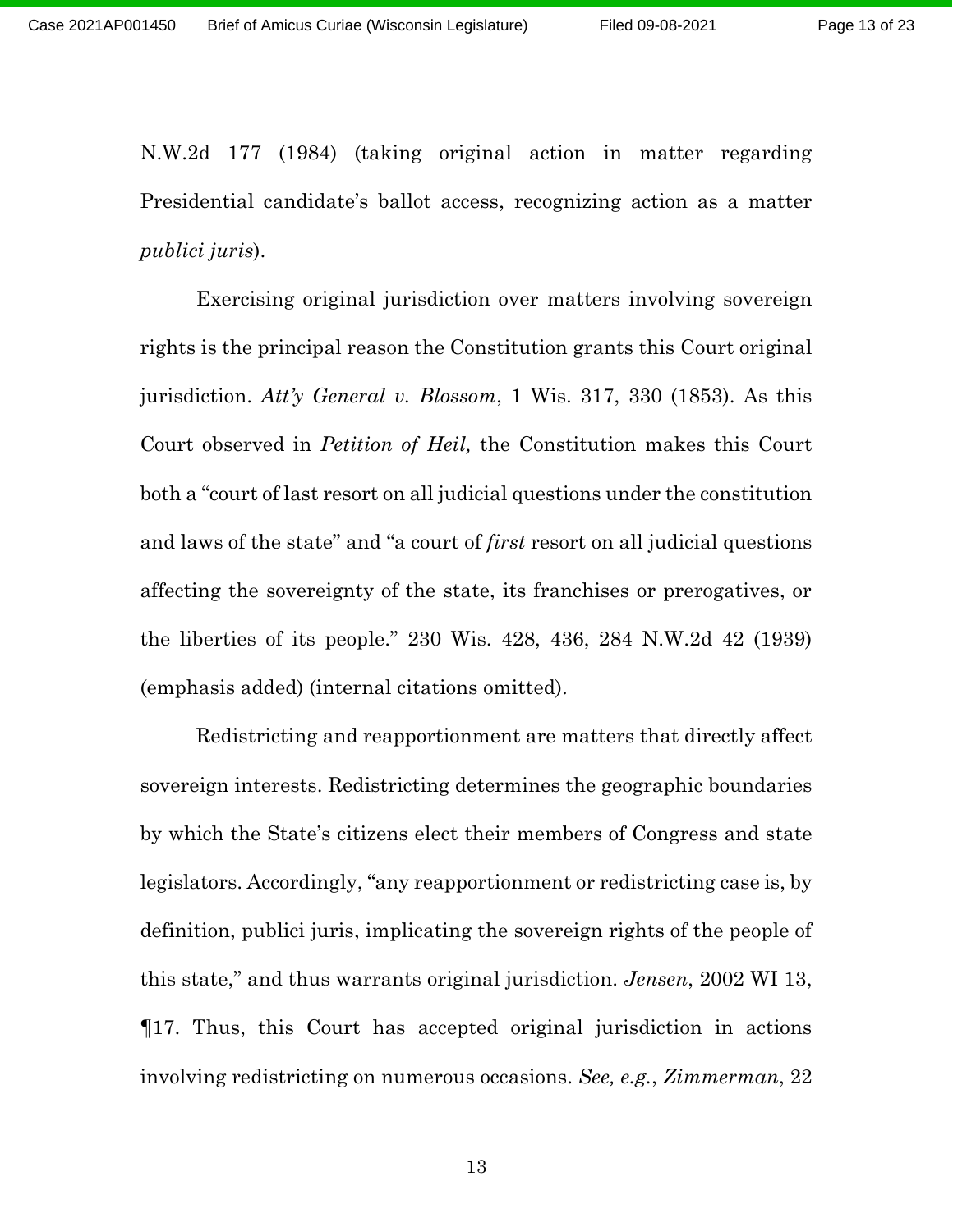N.W.2d 177 (1984) (taking original action in matter regarding Presidential candidate's ballot access, recognizing action as a matter *publici juris*).

Exercising original jurisdiction over matters involving sovereign rights is the principal reason the Constitution grants this Court original jurisdiction. *Att'y General v. Blossom*, 1 Wis. 317, 330 (1853). As this Court observed in *Petition of Heil,* the Constitution makes this Court both a "court of last resort on all judicial questions under the constitution and laws of the state" and "a court of *first* resort on all judicial questions affecting the sovereignty of the state, its franchises or prerogatives, or the liberties of its people." 230 Wis. 428, 436, 284 N.W.2d 42 (1939) (emphasis added) (internal citations omitted).

Redistricting and reapportionment are matters that directly affect sovereign interests. Redistricting determines the geographic boundaries by which the State's citizens elect their members of Congress and state legislators. Accordingly, "any reapportionment or redistricting case is, by definition, publici juris, implicating the sovereign rights of the people of this state," and thus warrants original jurisdiction. *Jensen*, 2002 WI 13, ¶17. Thus, this Court has accepted original jurisdiction in actions involving redistricting on numerous occasions. *See, e.g.*, *Zimmerman*, 22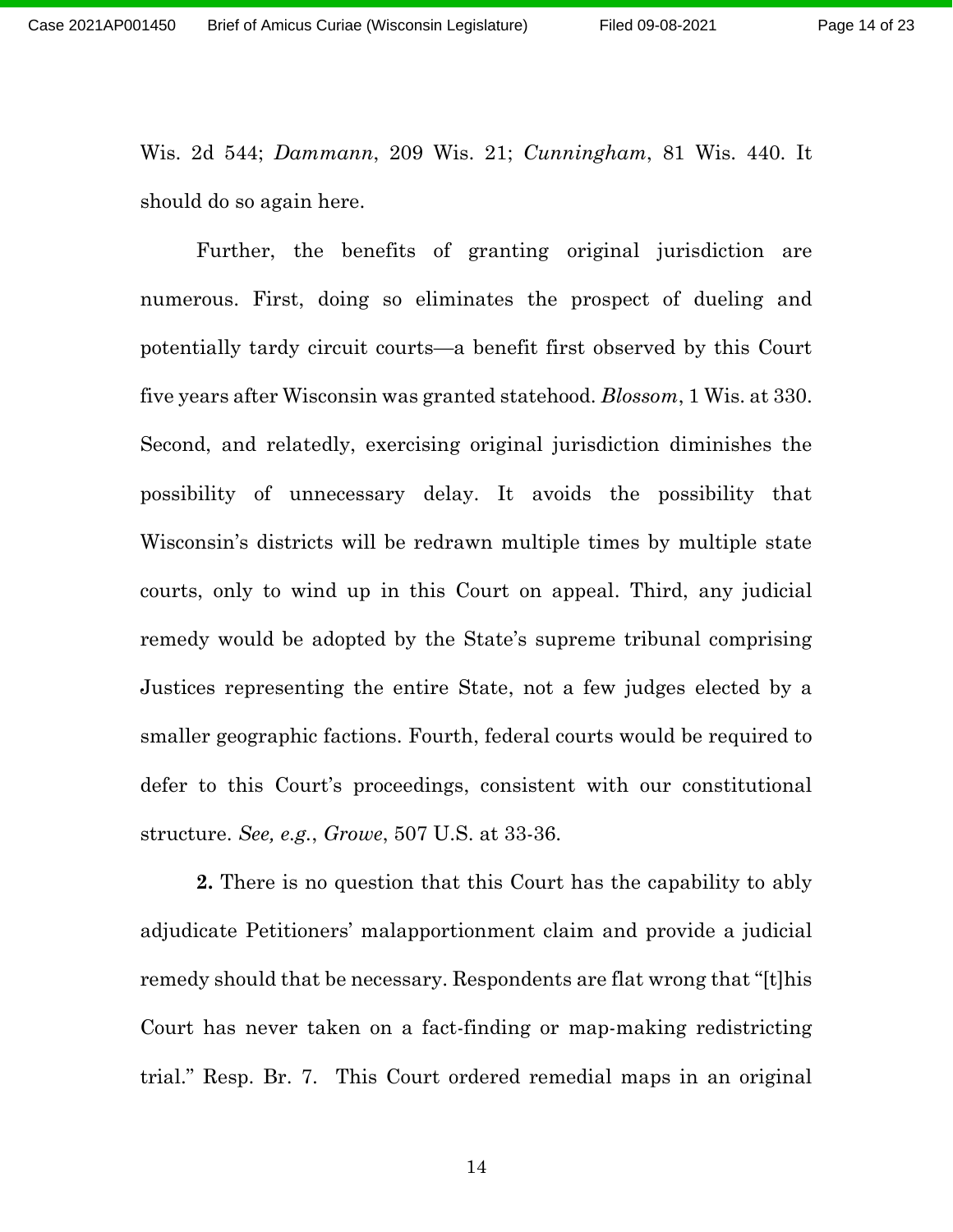Wis. 2d 544; *Dammann*, 209 Wis. 21; *Cunningham*, 81 Wis. 440. It should do so again here.

Further, the benefits of granting original jurisdiction are numerous. First, doing so eliminates the prospect of dueling and potentially tardy circuit courts—a benefit first observed by this Court five years after Wisconsin was granted statehood. *Blossom*, 1 Wis. at 330. Second, and relatedly, exercising original jurisdiction diminishes the possibility of unnecessary delay. It avoids the possibility that Wisconsin's districts will be redrawn multiple times by multiple state courts, only to wind up in this Court on appeal. Third, any judicial remedy would be adopted by the State's supreme tribunal comprising Justices representing the entire State, not a few judges elected by a smaller geographic factions. Fourth, federal courts would be required to defer to this Court's proceedings, consistent with our constitutional structure. *See, e.g.*, *Growe*, 507 U.S. at 33-36.

**2.** There is no question that this Court has the capability to ably adjudicate Petitioners' malapportionment claim and provide a judicial remedy should that be necessary. Respondents are flat wrong that "[t]his Court has never taken on a fact-finding or map-making redistricting trial." Resp. Br. 7. This Court ordered remedial maps in an original

14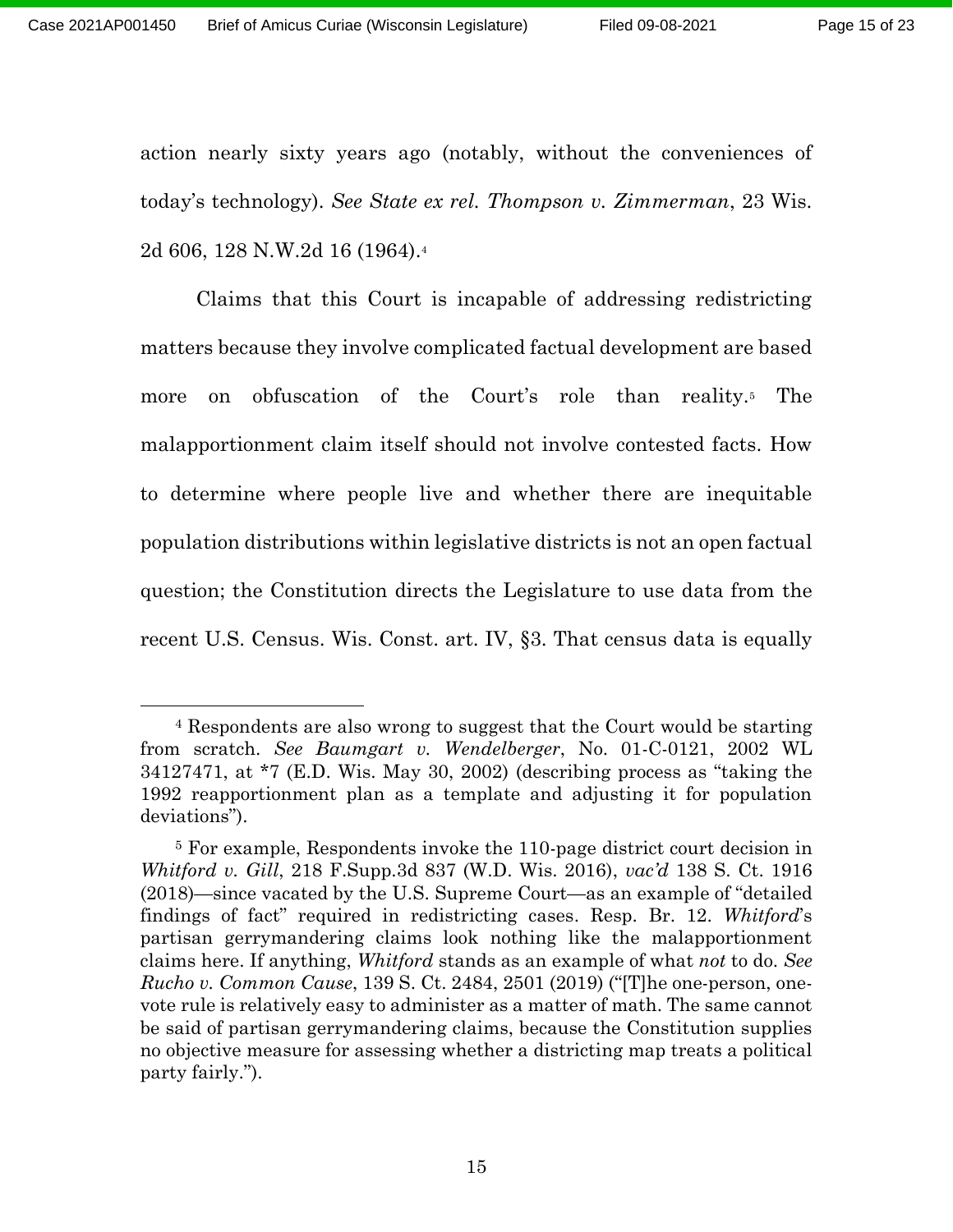action nearly sixty years ago (notably, without the conveniences of today's technology). *See State ex rel. Thompson v. Zimmerman*, 23 Wis. 2d 606, 128 N.W.2d 16 (1964). 4

Claims that this Court is incapable of addressing redistricting matters because they involve complicated factual development are based more on obfuscation of the Court's role than reality.<sup>5</sup> The malapportionment claim itself should not involve contested facts. How to determine where people live and whether there are inequitable population distributions within legislative districts is not an open factual question; the Constitution directs the Legislature to use data from the recent U.S. Census. Wis. Const. art. IV, §3. That census data is equally

<sup>4</sup> Respondents are also wrong to suggest that the Court would be starting from scratch. *See Baumgart v. Wendelberger*, No. 01-C-0121, 2002 WL 34127471, at \*7 (E.D. Wis. May 30, 2002) (describing process as "taking the 1992 reapportionment plan as a template and adjusting it for population deviations").

<sup>5</sup> For example, Respondents invoke the 110-page district court decision in *Whitford v. Gill*, 218 F.Supp.3d 837 (W.D. Wis. 2016), *vac'd* 138 S. Ct. 1916 (2018)—since vacated by the U.S. Supreme Court—as an example of "detailed findings of fact" required in redistricting cases. Resp. Br. 12. *Whitford*'s partisan gerrymandering claims look nothing like the malapportionment claims here. If anything, *Whitford* stands as an example of what *not* to do. *See Rucho v. Common Cause*, 139 S. Ct. 2484, 2501 (2019) ("[T]he one-person, onevote rule is relatively easy to administer as a matter of math. The same cannot be said of partisan gerrymandering claims, because the Constitution supplies no objective measure for assessing whether a districting map treats a political party fairly.").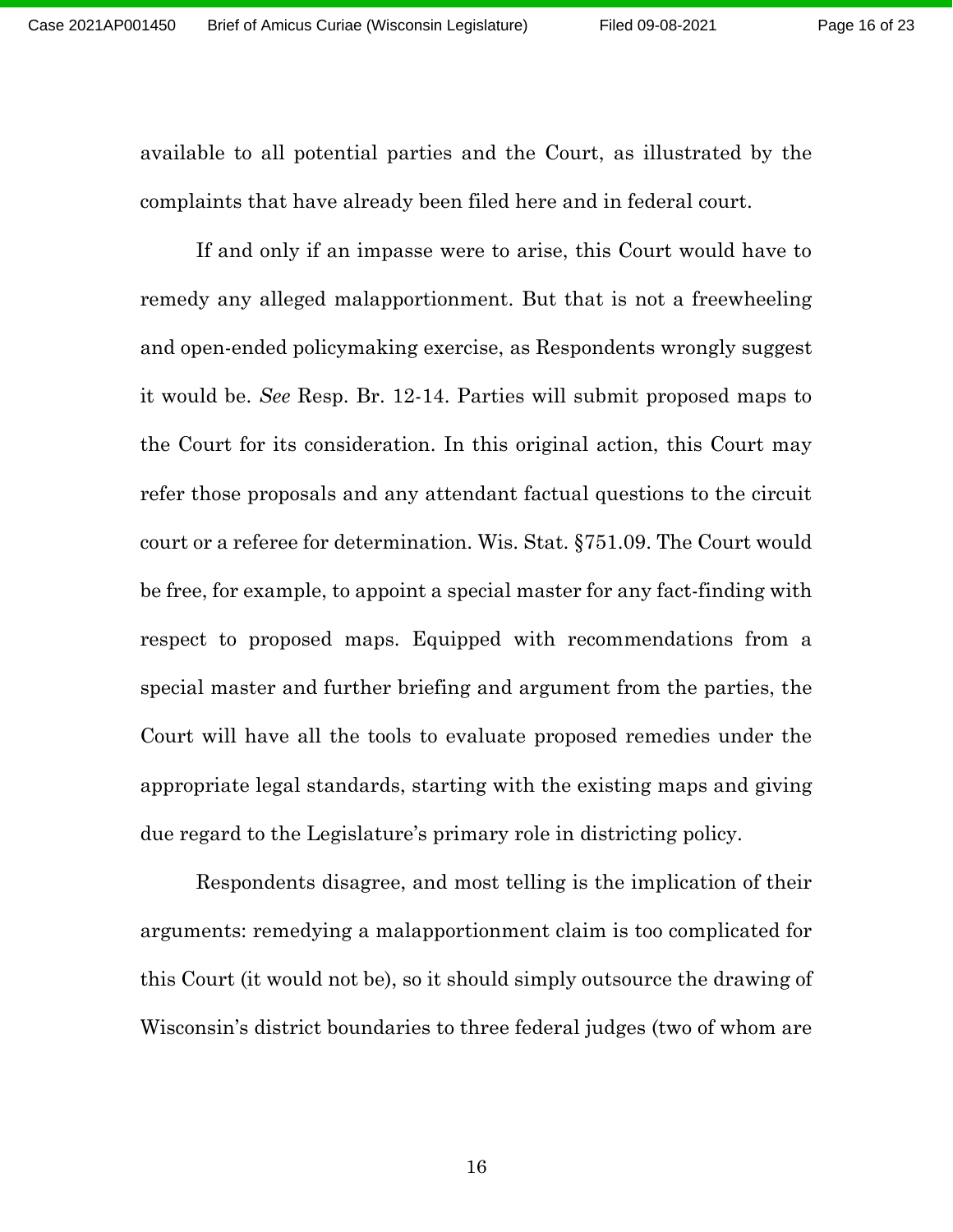available to all potential parties and the Court, as illustrated by the complaints that have already been filed here and in federal court.

If and only if an impasse were to arise, this Court would have to remedy any alleged malapportionment. But that is not a freewheeling and open-ended policymaking exercise, as Respondents wrongly suggest it would be. *See* Resp. Br. 12-14. Parties will submit proposed maps to the Court for its consideration. In this original action, this Court may refer those proposals and any attendant factual questions to the circuit court or a referee for determination. Wis. Stat. §751.09. The Court would be free, for example, to appoint a special master for any fact-finding with respect to proposed maps. Equipped with recommendations from a special master and further briefing and argument from the parties, the Court will have all the tools to evaluate proposed remedies under the appropriate legal standards, starting with the existing maps and giving due regard to the Legislature's primary role in districting policy.

Respondents disagree, and most telling is the implication of their arguments: remedying a malapportionment claim is too complicated for this Court (it would not be), so it should simply outsource the drawing of Wisconsin's district boundaries to three federal judges (two of whom are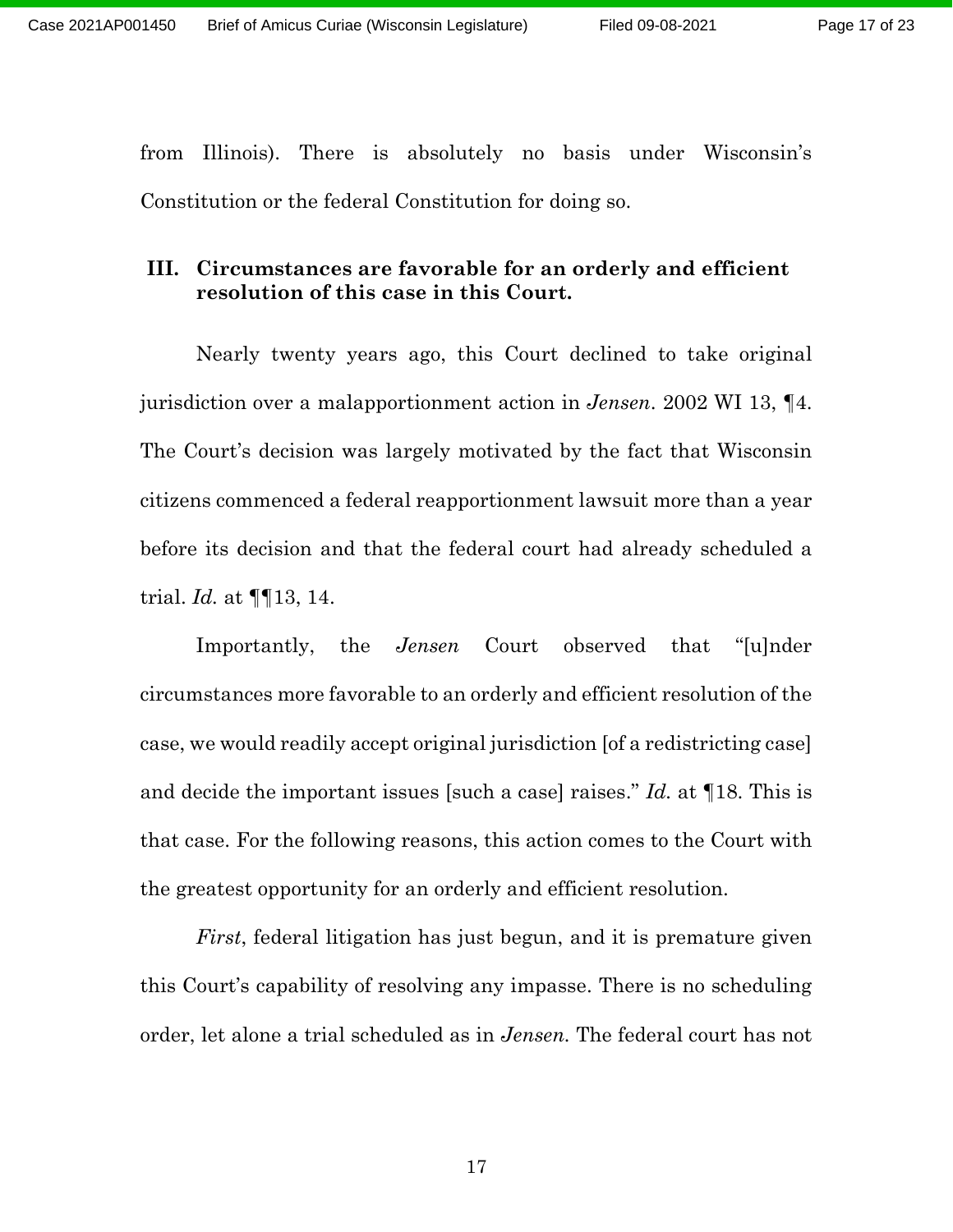from Illinois). There is absolutely no basis under Wisconsin's Constitution or the federal Constitution for doing so.

# **III. Circumstances are favorable for an orderly and efficient resolution of this case in this Court.**

Nearly twenty years ago, this Court declined to take original jurisdiction over a malapportionment action in *Jensen*. 2002 WI 13, ¶4. The Court's decision was largely motivated by the fact that Wisconsin citizens commenced a federal reapportionment lawsuit more than a year before its decision and that the federal court had already scheduled a trial. *Id.* at ¶¶13, 14.

Importantly, the *Jensen* Court observed that "[u]nder circumstances more favorable to an orderly and efficient resolution of the case, we would readily accept original jurisdiction [of a redistricting case] and decide the important issues [such a case] raises." *Id.* at ¶18. This is that case. For the following reasons, this action comes to the Court with the greatest opportunity for an orderly and efficient resolution.

*First*, federal litigation has just begun, and it is premature given this Court's capability of resolving any impasse. There is no scheduling order, let alone a trial scheduled as in *Jensen.* The federal court has not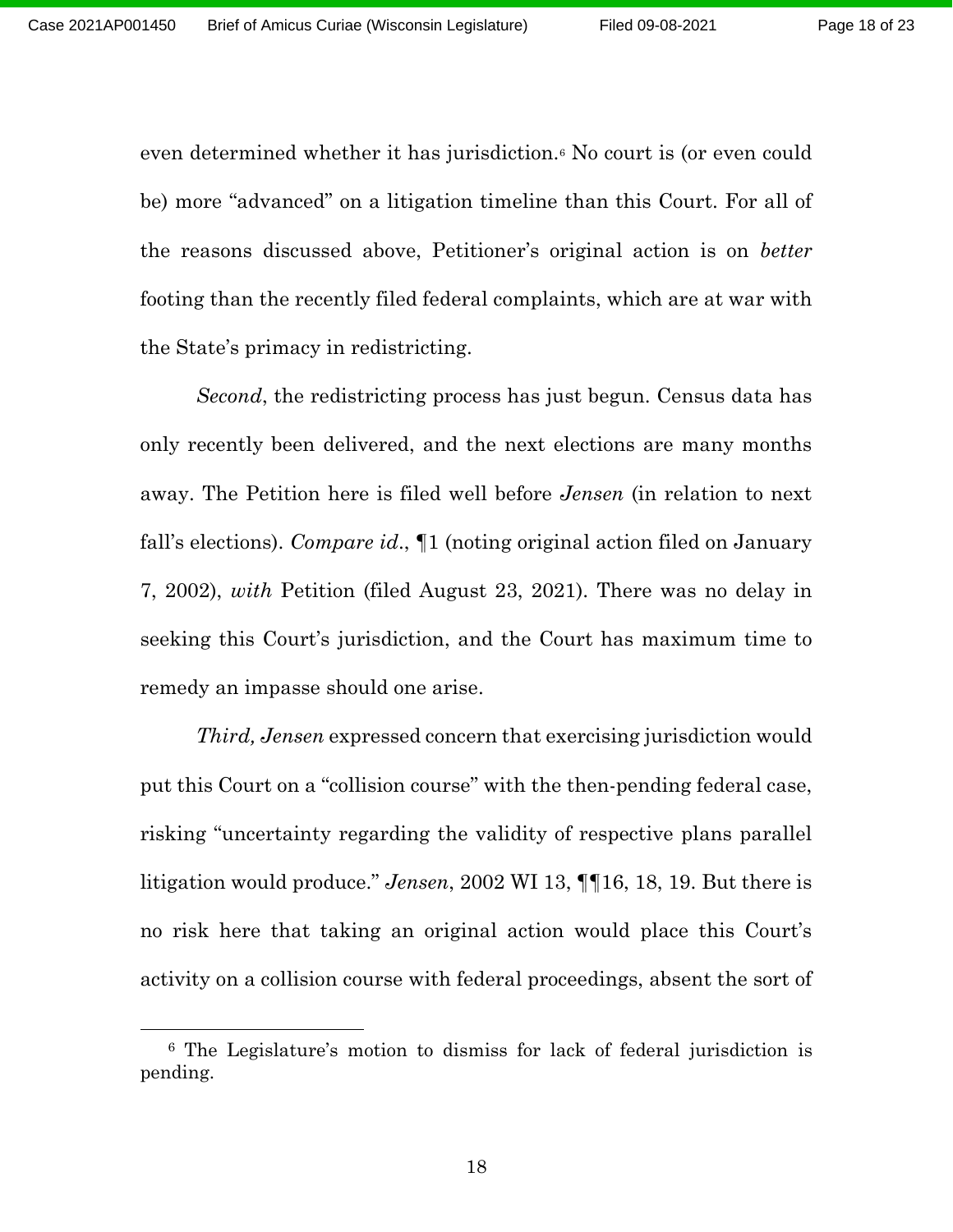even determined whether it has jurisdiction.<sup>6</sup> No court is (or even could be) more "advanced" on a litigation timeline than this Court. For all of the reasons discussed above, Petitioner's original action is on *better* footing than the recently filed federal complaints, which are at war with the State's primacy in redistricting.

*Second*, the redistricting process has just begun. Census data has only recently been delivered, and the next elections are many months away. The Petition here is filed well before *Jensen* (in relation to next fall's elections). *Compare id*., ¶1 (noting original action filed on January 7, 2002), *with* Petition (filed August 23, 2021). There was no delay in seeking this Court's jurisdiction, and the Court has maximum time to remedy an impasse should one arise.

*Third, Jensen* expressed concern that exercising jurisdiction would put this Court on a "collision course" with the then-pending federal case, risking "uncertainty regarding the validity of respective plans parallel litigation would produce." *Jensen*, 2002 WI 13, ¶¶16, 18, 19. But there is no risk here that taking an original action would place this Court's activity on a collision course with federal proceedings, absent the sort of

<sup>6</sup> The Legislature's motion to dismiss for lack of federal jurisdiction is pending.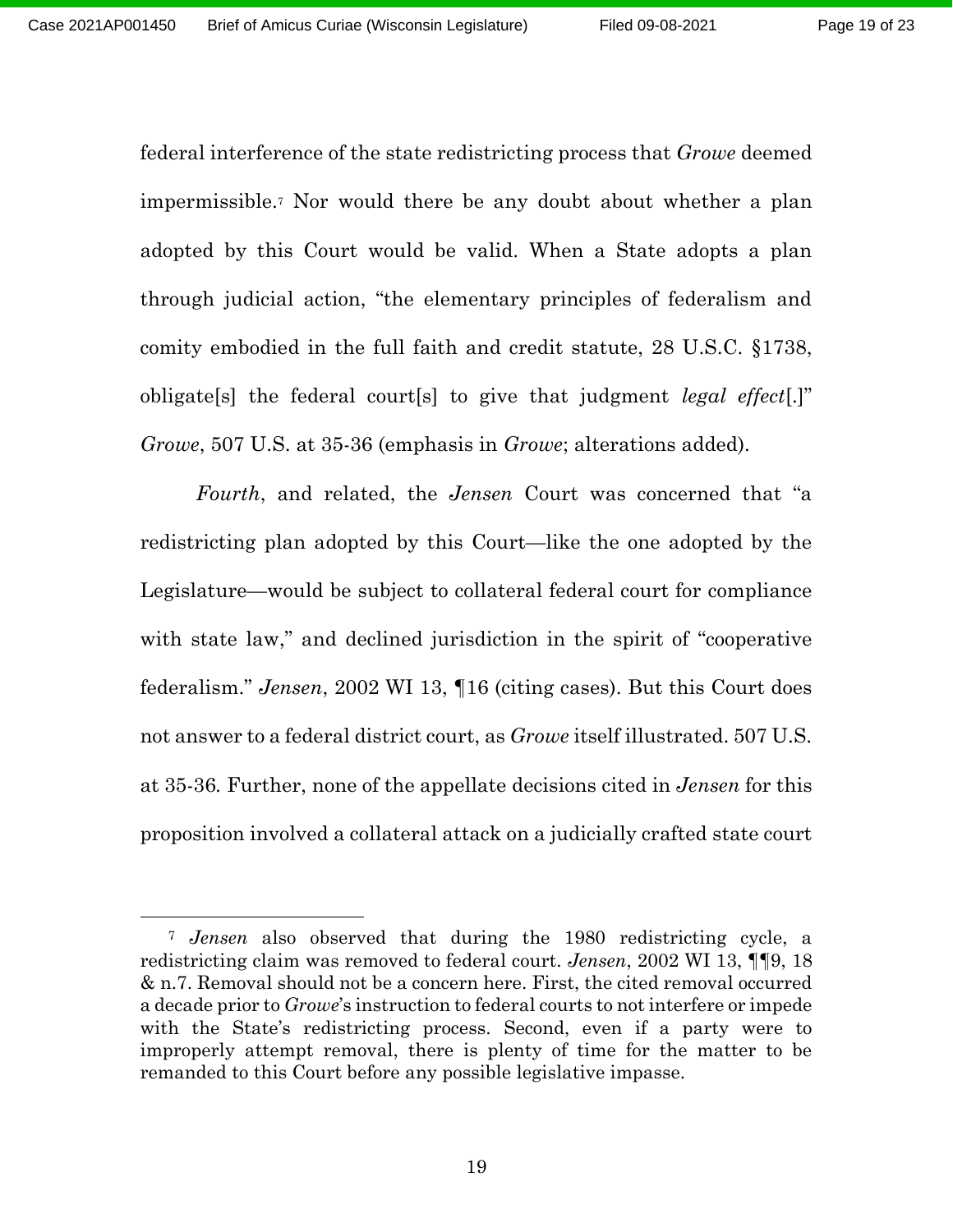federal interference of the state redistricting process that *Growe* deemed impermissible.<sup>7</sup> Nor would there be any doubt about whether a plan adopted by this Court would be valid. When a State adopts a plan through judicial action, "the elementary principles of federalism and comity embodied in the full faith and credit statute, 28 U.S.C. §1738, obligate[s] the federal court[s] to give that judgment *legal effect*[.]" *Growe*, 507 U.S. at 35-36 (emphasis in *Growe*; alterations added).

*Fourth*, and related, the *Jensen* Court was concerned that "a redistricting plan adopted by this Court—like the one adopted by the Legislature—would be subject to collateral federal court for compliance with state law," and declined jurisdiction in the spirit of "cooperative" federalism." *Jensen*, 2002 WI 13, ¶16 (citing cases). But this Court does not answer to a federal district court, as *Growe* itself illustrated. 507 U.S. at 35-36*.* Further, none of the appellate decisions cited in *Jensen* for this proposition involved a collateral attack on a judicially crafted state court

<sup>7</sup> *Jensen* also observed that during the 1980 redistricting cycle, a redistricting claim was removed to federal court. *Jensen*, 2002 WI 13, ¶¶9, 18 & n.7. Removal should not be a concern here. First, the cited removal occurred a decade prior to *Growe*'s instruction to federal courts to not interfere or impede with the State's redistricting process. Second, even if a party were to improperly attempt removal, there is plenty of time for the matter to be remanded to this Court before any possible legislative impasse.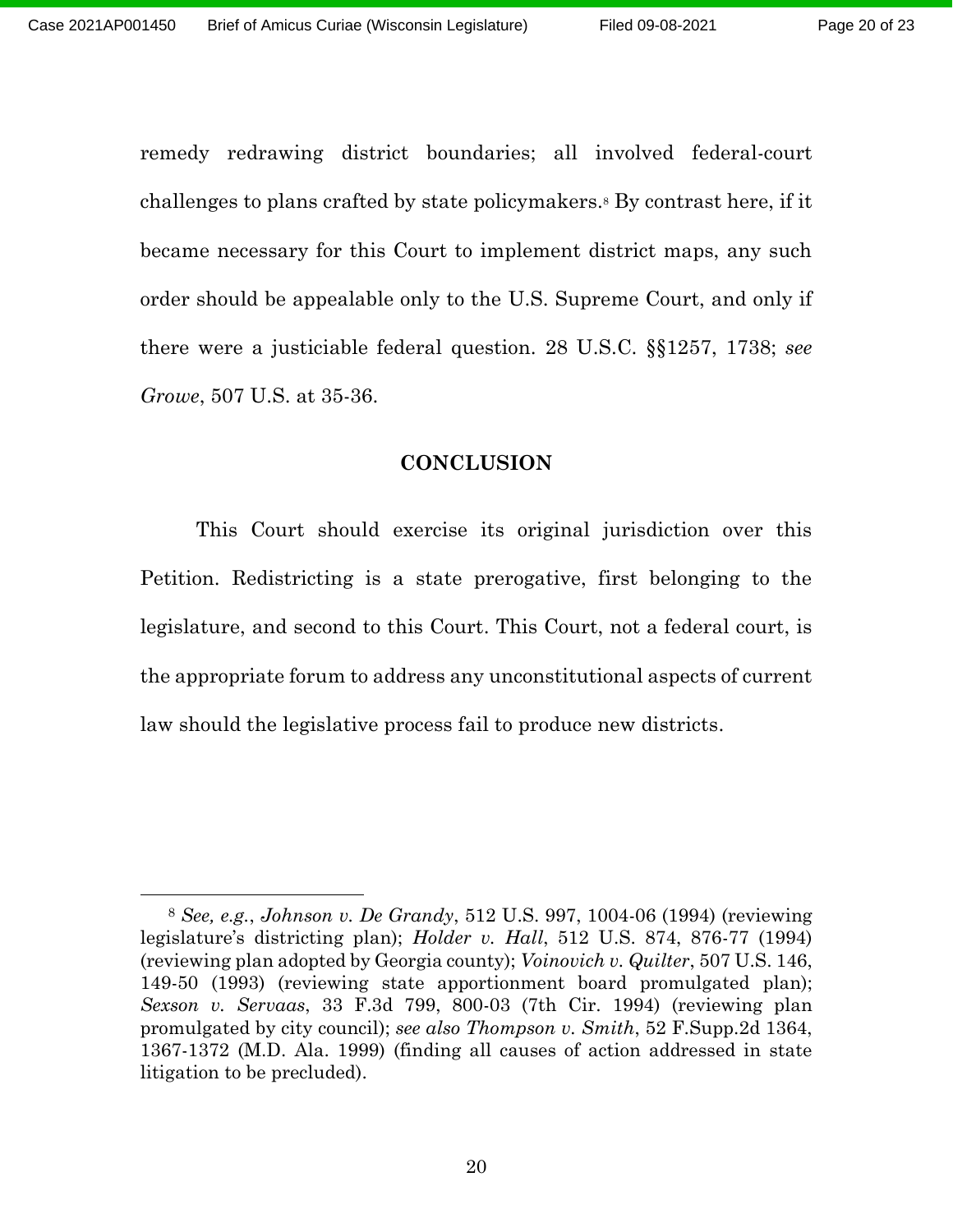remedy redrawing district boundaries; all involved federal-court challenges to plans crafted by state policymakers. <sup>8</sup> By contrast here, if it became necessary for this Court to implement district maps, any such order should be appealable only to the U.S. Supreme Court, and only if there were a justiciable federal question. 28 U.S.C. §§1257, 1738; *see Growe*, 507 U.S. at 35-36.

#### **CONCLUSION**

This Court should exercise its original jurisdiction over this Petition. Redistricting is a state prerogative, first belonging to the legislature, and second to this Court. This Court, not a federal court, is the appropriate forum to address any unconstitutional aspects of current law should the legislative process fail to produce new districts.

<sup>8</sup> *See, e.g.*, *Johnson v. De Grandy*, 512 U.S. 997, 1004-06 (1994) (reviewing legislature's districting plan); *Holder v. Hall*, 512 U.S. 874, 876-77 (1994) (reviewing plan adopted by Georgia county); *Voinovich v. Quilter*, 507 U.S. 146, 149-50 (1993) (reviewing state apportionment board promulgated plan); *Sexson v. Servaas*, 33 F.3d 799, 800-03 (7th Cir. 1994) (reviewing plan promulgated by city council); *see also Thompson v. Smith*, 52 F.Supp.2d 1364, 1367-1372 (M.D. Ala. 1999) (finding all causes of action addressed in state litigation to be precluded).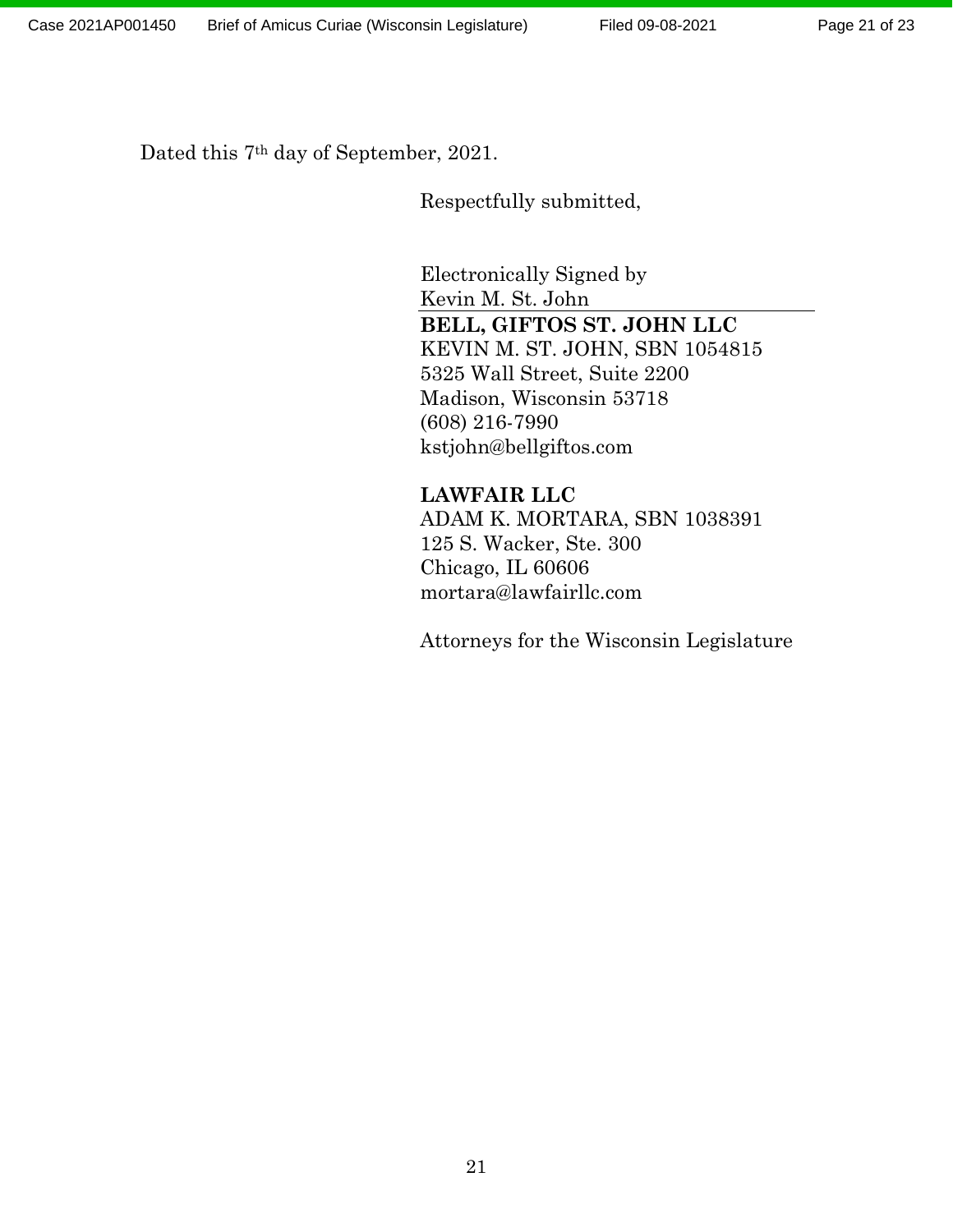Dated this 7th day of September, 2021.

Respectfully submitted,

Electronically Signed by Kevin M. St. John **BELL, GIFTOS ST. JOHN LLC** KEVIN M. ST. JOHN, SBN 1054815 5325 Wall Street, Suite 2200 Madison, Wisconsin 53718 (608) 216-7990 kstjohn@bellgiftos.com

## **LAWFAIR LLC**

ADAM K. MORTARA, SBN 1038391 125 S. Wacker, Ste. 300 Chicago, IL 60606 mortara@lawfairllc.com

Attorneys for the Wisconsin Legislature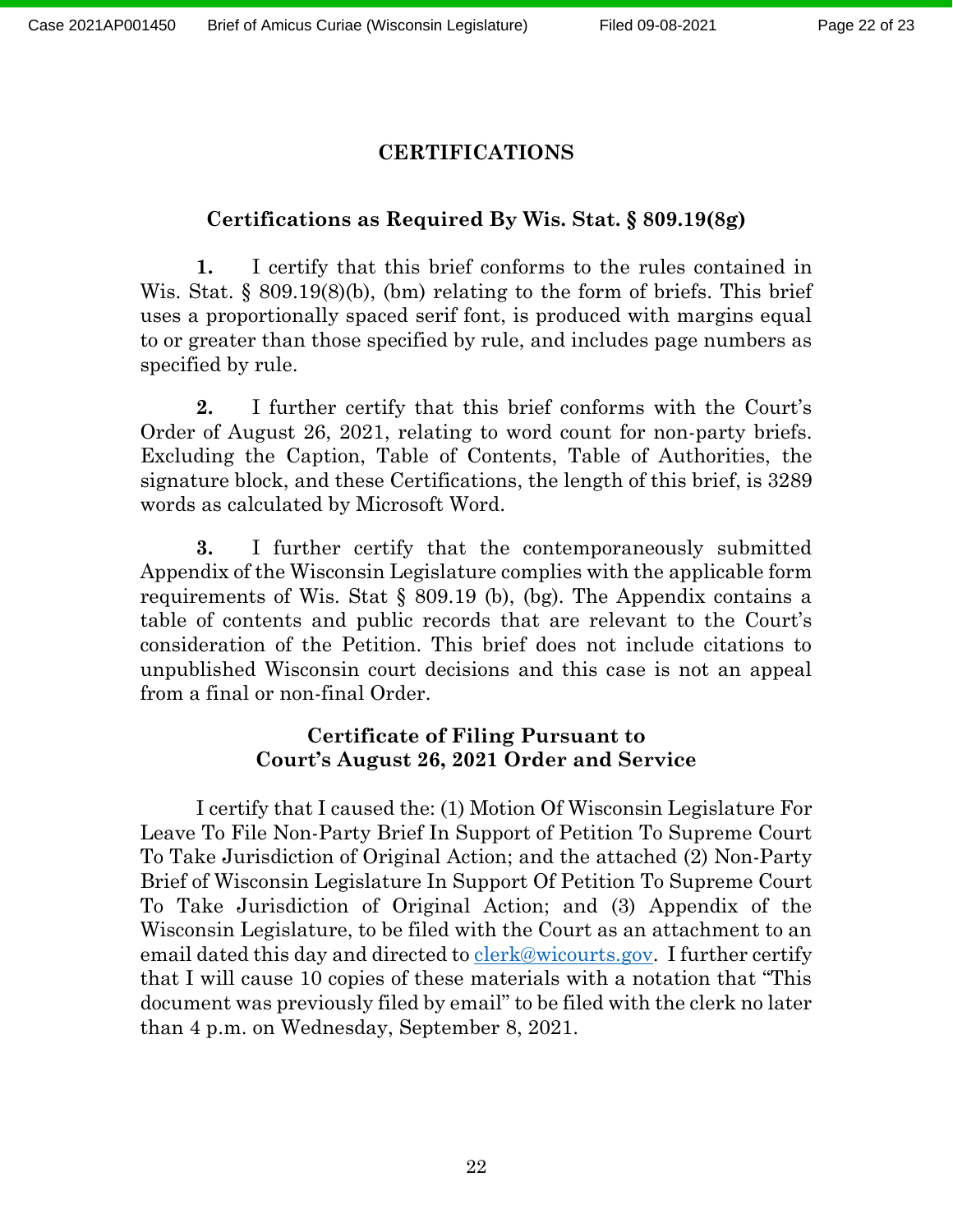## **CERTIFICATIONS**

## **Certifications as Required By Wis. Stat. § 809.19(8g)**

**1.** I certify that this brief conforms to the rules contained in Wis. Stat. § 809.19(8)(b), (bm) relating to the form of briefs. This brief uses a proportionally spaced serif font, is produced with margins equal to or greater than those specified by rule, and includes page numbers as specified by rule.

**2.** I further certify that this brief conforms with the Court's Order of August 26, 2021, relating to word count for non-party briefs. Excluding the Caption, Table of Contents, Table of Authorities, the signature block, and these Certifications, the length of this brief, is 3289 words as calculated by Microsoft Word.

**3.** I further certify that the contemporaneously submitted Appendix of the Wisconsin Legislature complies with the applicable form requirements of Wis. Stat § 809.19 (b), (bg). The Appendix contains a table of contents and public records that are relevant to the Court's consideration of the Petition. This brief does not include citations to unpublished Wisconsin court decisions and this case is not an appeal from a final or non-final Order.

## **Certificate of Filing Pursuant to Court's August 26, 2021 Order and Service**

I certify that I caused the: (1) Motion Of Wisconsin Legislature For Leave To File Non-Party Brief In Support of Petition To Supreme Court To Take Jurisdiction of Original Action; and the attached (2) Non-Party Brief of Wisconsin Legislature In Support Of Petition To Supreme Court To Take Jurisdiction of Original Action; and (3) Appendix of the Wisconsin Legislature, to be filed with the Court as an attachment to an email dated this day and directed to clerk@wicourts.gov. I further certify that I will cause 10 copies of these materials with a notation that "This document was previously filed by email" to be filed with the clerk no later than 4 p.m. on Wednesday, September 8, 2021.